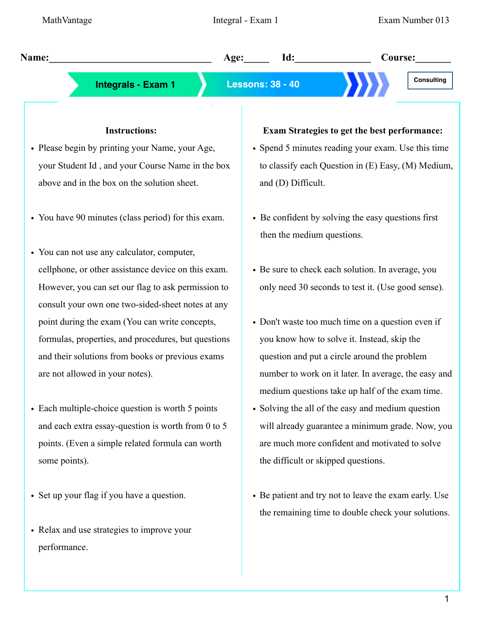**Name:\_\_\_\_\_\_\_\_\_\_\_\_\_\_\_\_\_\_\_\_\_\_\_\_\_\_\_\_\_\_\_\_ Age:\_\_\_\_\_ Id:\_\_\_\_\_\_\_\_\_\_\_\_\_\_\_ Course:\_\_\_\_\_\_\_**

# **Integrals - Exam 1 Lessons: 38 - 40 Consulting**



### **Instructions:**

- Please begin by printing your Name, your Age, your Student Id , and your Course Name in the box above and in the box on the solution sheet.
- You have 90 minutes (class period) for this exam.
- You can not use any calculator, computer, cellphone, or other assistance device on this exam. However, you can set our flag to ask permission to consult your own one two-sided-sheet notes at any point during the exam (You can write concepts, formulas, properties, and procedures, but questions and their solutions from books or previous exams are not allowed in your notes).
- Each multiple-choice question is worth 5 points and each extra essay-question is worth from 0 to 5 points. (Even a simple related formula can worth some points).
- Set up your flag if you have a question.
- Relax and use strategies to improve your performance.

#### **Exam Strategies to get the best performance:**

- Spend 5 minutes reading your exam. Use this time to classify each Question in (E) Easy, (M) Medium, and (D) Difficult.
- Be confident by solving the easy questions first then the medium questions.
- Be sure to check each solution. In average, you only need 30 seconds to test it. (Use good sense).
- Don't waste too much time on a question even if you know how to solve it. Instead, skip the question and put a circle around the problem number to work on it later. In average, the easy and medium questions take up half of the exam time.
- Solving the all of the easy and medium question will already guarantee a minimum grade. Now, you are much more confident and motivated to solve the difficult or skipped questions.
- Be patient and try not to leave the exam early. Use the remaining time to double check your solutions.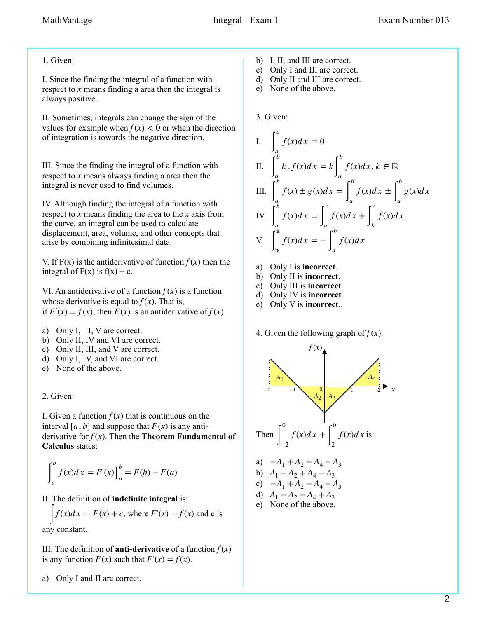# 1. Given:

I. Since the finding the integral of a function with respect to  $x$  means finding a area then the integral is always positive.

II. Sometimes, integrals can change the sign of the values for example when  $f(x) < 0$  or when the direction of integration is towards the negative direction.

III. Since the finding the integral of a function with respect to  $x$  means always finding a area then the integral is never used to find volumes.

IV. Although finding the integral of a function with respect to  $x$  means finding the area to the  $x$  axis from the curve, an integral can be used to calculate displacement, area, volume, and other concepts that arise by combining infinitesimal data.

V. If  $F(x)$  is the antiderivative of function  $f(x)$  then the integral of  $F(x)$  is  $f(x) + c$ .

VI. An antiderivative of a function  $f(x)$  is a function whose derivative is equal to  $f(x)$ . That is, if  $F'(x) = f(x)$ , then  $F(x)$  is an antiderivative of  $f(x)$ .

- a) Only I, III, V are correct.
- b) Only II, IV and VI are correct.
- c) Only II, III, and V are correct.
- d) Only I, IV, and VI are correct.
- e) None of the above.

2. Given:

I. Given a function  $f(x)$  that is continuous on the interval [a, b] and suppose that  $F(x)$  is any antiderivative for  $f(x)$ . Then the **Theorem Fundamental of Calculus** states:

$$
\int_{a}^{b} f(x)dx = F(x) \Big|_{a}^{b} = F(b) - F(a)
$$

II. The definition of **indefinite integra**l is:

 $\int f(x)dx = F(x) + c$ , where  $F'(x) = f(x)$  and c is

any constant.

III. The definition of **anti-derivative** of a function  $f(x)$ is any function  $F(x)$  such that  $F'(x) = f(x)$ .

a) Only I and II are correct.

- b) I, II, and III are correct.
- c) Only I and III are correct.
- d) Only II and III are correct.
- e) None of the above.

## 3. Given:

I. 
$$
\int_{a}^{a} f(x)dx = 0
$$
  
\nII. 
$$
\int_{a}^{b} k \cdot f(x)dx = k \int_{a}^{b} f(x)dx, k \in \mathbb{R}
$$
  
\nIII. 
$$
\int_{a}^{b} f(x) \pm g(x)dx = \int_{a}^{b} f(x)dx \pm \int_{a}^{b} g(x)dx
$$
  
\nIV. 
$$
\int_{a}^{b} f(x)dx = \int_{a}^{c} f(x)dx + \int_{b}^{c} f(x)dx
$$
  
\nV. 
$$
\int_{b}^{a} f(x)dx = - \int_{a}^{b} f(x)dx
$$

- a) Only I is **incorrect**.
- b) Only II is **incorrect**.
- c) Only III is **incorrect**.
- d) Only IV is **incorrect**.
- e) Only V is **incorrect**..

4. Given the following graph of  $f(x)$ .



- d)  $A_1 A_2 A_4 + A_3$
- e) None of the above.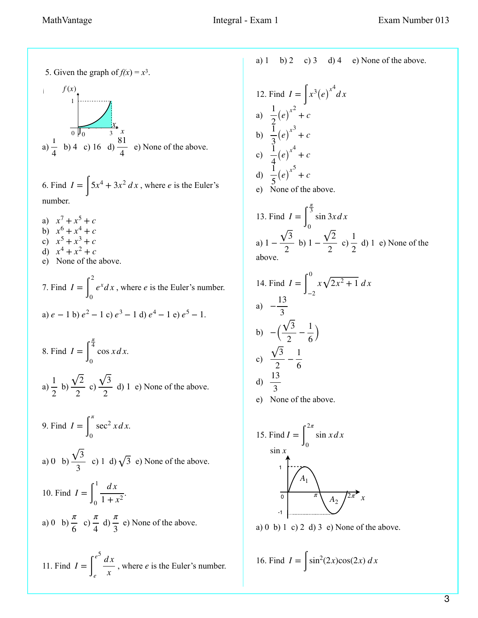5. Given the graph of  $f(x) = x^3$ .

$$
f(x)
$$
  
\n1  
\nx  
\n1  
\nx  
\n2  
\n $x$   
\n $x$   
\n $y$   
\n $y$   
\n $y$   
\n $y$   
\n $y$   
\n $y$   
\n $y$   
\n $y$   
\n $y$   
\n $y$   
\n $y$   
\n $y$   
\n $y$   
\n $y$   
\n $y$   
\n $y$   
\n $y$   
\n $y$   
\n $y$   
\n $y$   
\n $y$   
\n $y$   
\n $y$   
\n $y$   
\n $y$   
\n $y$   
\n $y$   
\n $y$   
\n $y$   
\n $y$   
\n $y$   
\n $y$   
\n $y$   
\n $y$   
\n $y$   
\n $y$   
\n $y$   
\n $y$   
\n $y$   
\n $y$   
\n $y$   
\n $y$   
\n $y$   
\n $y$   
\n $y$   
\n $y$   
\n $y$   
\n $y$   
\n $y$   
\n $y$   
\n $y$   
\n $y$   
\n $y$   
\n $y$   
\n $y$   
\n $y$   
\n $y$   
\n $y$   
\n $y$   
\n $y$   
\n $y$   
\n $y$   
\n $y$   
\n $y$   
\n $y$   
\n $y$   
\n $y$   
\n $y$   
\n $y$   
\n $y$   
\n $y$   
\n $y$   
\n $y$   
\n $y$   
\n $y$   
\n $y$   
\n $y$   
\n $y$   
\n $y$   
\n $y$   
\

6. Find  $I = \int 5x^4 + 3x^2 dx$ , where *e* is the Euler's number.

- a)  $x^7 + x^5 + c$
- b)  $x^6 + x^4 + c$
- c)  $x^5 + x^3 + c$
- d)  $x^4 + x^2 + c$
- e) None of the above.
- 7. Find  $I = \int_0^x e^x dx$ , where *e* is the Euler's number. 2 0  $e^x dx$ , where *e*

a) 
$$
e - 1
$$
 b)  $e^2 - 1$  c)  $e^3 - 1$  d)  $e^4 - 1$  e)  $e^5 - 1$ .

8. Find 
$$
I = \int_0^{\frac{\pi}{4}} \cos x \, dx.
$$

a)  $\frac{1}{2}$  b)  $\frac{\sqrt{2}}{2}$  c)  $\frac{\sqrt{3}}{2}$  d) 1 e) None of the above. 2 2 2 3 2 1

9. Find 
$$
I = \int_0^{\pi} \sec^2 x \, dx.
$$

a) 0 b) 
$$
\frac{\sqrt{3}}{3}
$$
 c) 1 d)  $\sqrt{3}$  e) None of the above.

10. Find  $I = \int_0^{\pi} \frac{dx}{1 + x^2}$ . a) 0 b)  $\frac{\pi}{6}$  c)  $\frac{\pi}{1}$  d)  $\frac{\pi}{6}$  e) None of the above. 1  $\boldsymbol{0}$ *d x*  $1 + x^2$ 6 *π* 4 *π* 3

11. Find 
$$
I = \int_{e}^{e^5} \frac{dx}{x}
$$
, where *e* is the Euler's number.

a) 1 b) 2 c) 3 d) 4 e) None of the above. 12. Find  $I = \int x^3 (e)^{x^4} dx$ a) b) c) d)  $\frac{1}{7}$ e) None of the above. 13. Find  $I = \begin{bmatrix} \end{bmatrix}$ a)  $1 - \frac{v}{c}$  b)  $1 - \frac{v}{c}$  c)  $\frac{1}{c}$  d) 1 e) None of the above. 14. Find  $I = \left[ \right]$ a)  $-\frac{13}{2}$ b) −( c)  $\frac{\sqrt{3}}{2} - \frac{1}{6}$ d)  $\frac{13}{2}$ e) None of the above. 15. Find  $I = \left[ \right]$ 1  $\frac{1}{2}(e)^{x^2} + c$ 1  $\frac{1}{3}(e)^{x^3} + c$ 1  $\frac{1}{4}(e)^{x^4} + c$  $\frac{1}{5}(e)^{x^5} + c$  $\frac{\pi}{3}$  sin 3*x d x* 0  $1-\frac{\sqrt{3}}{2}$ 2  $1-\frac{\sqrt{2}}{2}$ 2 1 2 0 −2  $x\sqrt{2x^2+1} dx$ 3  $\frac{1}{2} - \frac{1}{6}$ 3 2*π* 0  $\sin x dx$  $\overrightarrow{2\pi}$ <sub>x</sub>  $A_1$ 1  $\overline{0}$ sin *x*  $\overline{A_2}$ 



16. Find 
$$
I = \int \sin^2(2x)\cos(2x) dx
$$

-1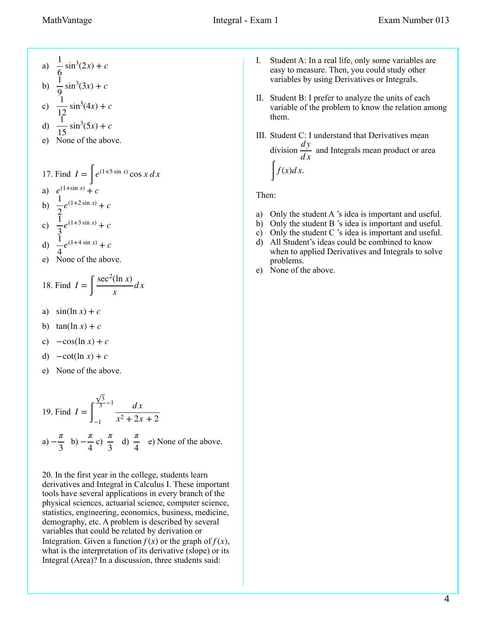a) 
$$
\frac{1}{6} \sin^3(2x) + c
$$
  
\nb)  $\frac{1}{9} \sin^3(3x) + c$   
\nc)  $\frac{1}{12} \sin^3(4x) + c$   
\nd)  $\frac{1}{15} \sin^3(5x) + c$ 

e) None of the above.

17. Find 
$$
I = \int e^{(1+5 \sin x)} \cos x \, dx
$$
  
\na)  $e^{(1+\sin x)} + c$   
\nb)  $\frac{1}{2}e^{(1+2 \sin x)} + c$   
\nc)  $\frac{1}{3}e^{(1+3 \sin x)} + c$   
\nd)  $\frac{1}{4}e^{(1+4 \sin x)} + c$ 

e) None of the above.  $\overline{4}$ 

18. Find 
$$
I = \int \frac{\sec^2(\ln x)}{x} dx
$$

- a)  $\sin(\ln x) + c$
- b)  $tan(ln x) + c$
- c)  $-\cos(\ln x) + c$
- d)  $-\cot(\ln x) + c$
- e) None of the above.

19. Find 
$$
I = \int_{-1}^{\frac{\sqrt{3}}{3} - 1} \frac{dx}{x^2 + 2x + 2}
$$

a) 
$$
-\frac{\pi}{3}
$$
 b)  $-\frac{\pi}{4}$  c)  $\frac{\pi}{3}$  d)  $\frac{\pi}{4}$  e) None of the above.

20. In the first year in the college, students learn derivatives and Integral in Calculus I. These important tools have several applications in every branch of the physical sciences, actuarial science, computer science, statistics, engineering, economics, business, medicine, demography, etc. A problem is described by several variables that could be related by derivation or Integration. Given a function  $f(x)$  or the graph of  $f(x)$ , what is the interpretation of its derivative (slope) or its Integral (Area)? In a discussion, three students said:

- I. Student A: In a real life, only some variables are easy to measure. Then, you could study other variables by using Derivatives or Integrals.
- II. Student B: I prefer to analyze the units of each variable of the problem to know the relation among them.

III. Student C: I understand that Derivatives mean  
division 
$$
\frac{dy}{dx}
$$
 and Integrals mean product or area  
 $\int f(x)dx$ .

Then:

- a) Only the student A 's idea is important and useful.
- b) Only the student B 's idea is important and useful.
- c) Only the student C 's idea is important and useful.
- d) All Student's ideas could be combined to know when to applied Derivatives and Integrals to solve problems.
- e) None of the above.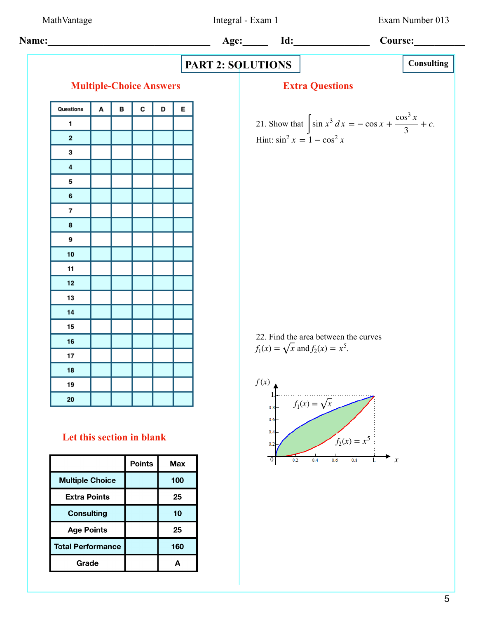Grade

 $\boldsymbol{\mathsf{A}}$ 

MathVantage Integral - Exam 1 Exam Number 013